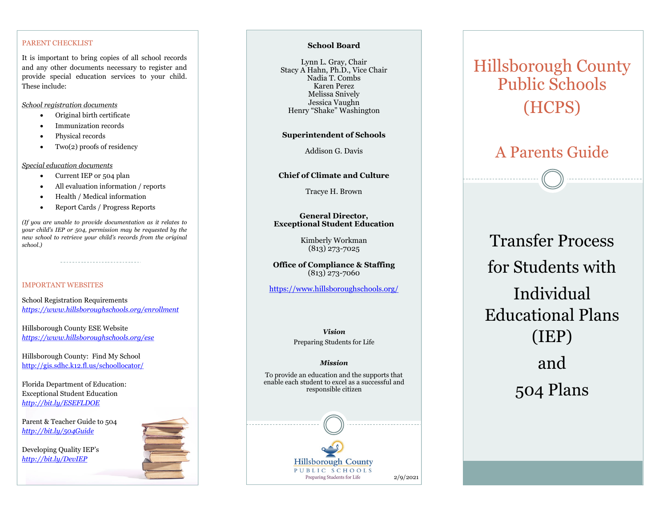### PARENT CHECKLIST

It is important to bring copies of all school records and any other documents necessary to register and provide special education services to your child. These include:

*School registration documents*

- Original birth certificate
- Immunization records
- Physical records
- Two(2) proofs of residency

*Special education documents*

- Current IEP or 504 plan
- All evaluation information / reports
- Health / Medical information
- Report Cards / Progress Reports

*(If you are unable to provide documentation as it relates to your child's IEP or 504, permission may be requested by the new school to retrieve your child's records from the original school.)*

### IMPORTANT WEBSITES

School Registration Requirements *<https://www.hillsboroughschools.org/enrollment>*

Hillsborough County ESE Website *<https://www.hillsboroughschools.org/ese>*

Hillsborough County: Find My School <http://gis.sdhc.k12.fl.us/schoollocator/>

Florida Department of Education: Exceptional Student Education *<http://bit.ly/ESEFLDOE>*

Parent & Teacher Guide to 504 *<http://bit.ly/504Guide>*

Developing Quality IEP's *<http://bit.ly/DevIEP>*



### **School Board**

Lynn L. Gray, Chair Stacy A Hahn, Ph.D., Vice Chair Nadia T. Combs Karen Perez Melissa Snively Jessica Vaughn Henry "Shake" Washington

### **Superintendent of Schools**

Addison G. Davis

### **Chief of Climate and Culture**

Tracye H. Brown

### **General Director, Exceptional Student Education**

Kimberly Workman (813) 273-7025

**Office of Compliance & Staffing** (813) 273-7060

[https://www.hillsboroughschools.org/](https://www.hillsboroughschools.org)

*Vision* Preparing Students for Life

#### *Mission*

To provide an education and the supports that enable each student to excel as a successful and responsible citizen

## **Hillsborough County** PUBLIC SCHOOLS Preparing Students for Life 2/9/2021

# Hillsborough County Public Schools (HCPS)

## A Parents Guide

Transfer Process for Students with Individual Educational Plans (IEP) and 504 Plans